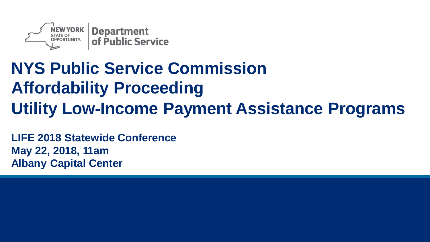

#### **NYS Public Service Commission Affordability Proceeding Utility Low-Income Payment Assistance Programs**

**LIFE 2018 Statewide Conference May 22, 2018, 11am Albany Capital Center**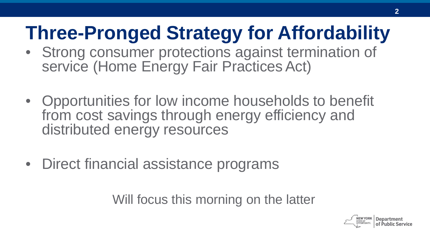### **Three-Pronged Strategy for Affordability**

- Strong consumer protections against termination of service (Home Energy Fair Practices Act)
- Opportunities for low income households to benefit from cost savings through energy efficiency and distributed energy resources
- Direct financial assistance programs

Will focus this morning on the latter

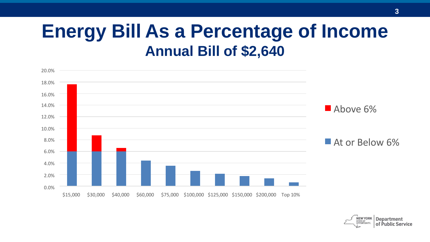#### **Energy Bill As a Percentage of Income Annual Bill of \$2,640**



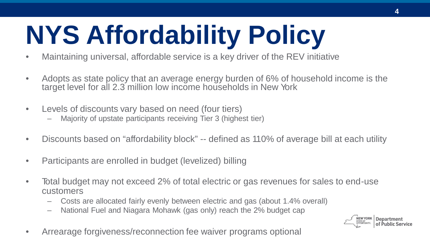# **NYS Affordability Policy**

- Maintaining universal, affordable service is a key driver of the REV initiative
- Adopts as state policy that an average energy burden of 6% of household income is the target level for all 2.3 million low income households in New York
- Levels of discounts vary based on need (four tiers)
	- Majority of upstate participants receiving Tier 3 (highest tier)
- Discounts based on "affordability block" -- defined as 110% of average bill at each utility
- Participants are enrolled in budget (levelized) billing
- Total budget may not exceed 2% of total electric or gas revenues for sales to end-use customers
	- Costs are allocated fairly evenly between electric and gas (about 1.4% overall)
	- National Fuel and Niagara Mohawk (gas only) reach the 2% budget cap



• Arrearage forgiveness/reconnection fee waiver programs optional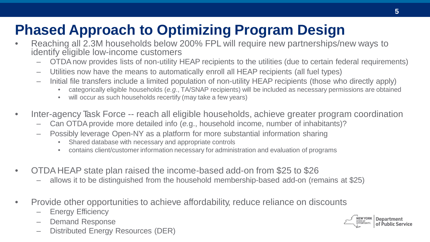#### **Phased Approach to Optimizing Program Design**

- Reaching all 2.3M households below 200% FPL will require new partnerships/new ways to identify eligible low-income customers
	- OTDAnow provides lists of non-utility HEAP recipients to the utilities (due to certain federal requirements)
	- Utilities now have the means to automatically enroll all HEAP recipients (all fuel types)
	- Initial file transfers include a limited population of non-utility HEAP recipients (those who directly apply)
		- categorically eligible households (*e.g*., TA/SNAP recipients) will be included as necessary permissions are obtained
		- will occur as such households recertify (may take a few years)
- Inter-agency Task Force -- reach all eligible households, achieve greater program coordination
	- Can OTDAprovide more detailed info (*e.*g., household income, number of inhabitants)?
	- Possibly leverage Open-NY as a platform for more substantial information sharing
		- Shared database with necessary and appropriate controls
		- contains client/customer information necessary for administration and evaluation of programs
- OTDA HEAP state plan raised the income-based add-on from \$25 to \$26
	- allows it to be distinguished from the household membership-based add-on (remains at \$25)
- Provide other opportunities to achieve affordability, reduce reliance on discounts
	- **Energy Efficiency**
	- Demand Response
	- Distributed Energy Resources (DER)

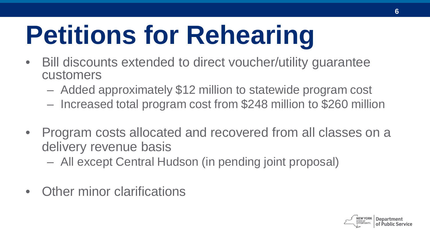# **Petitions for Rehearing**

- Bill discounts extended to direct voucher/utility guarantee customers
	- Added approximately \$12 million to statewide program cost
	- Increased total program cost from \$248 million to \$260 million
- Program costs allocated and recovered from all classes on a delivery revenue basis
	- All except Central Hudson (in pending joint proposal)
- Other minor clarifications

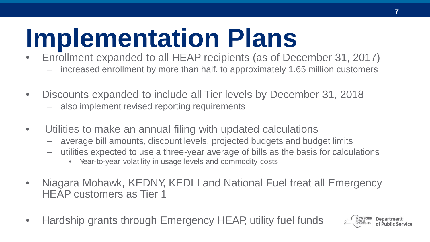## **Implementation Plans**

- Enrollment expanded to all HEAP recipients (as of December 31, 2017)
	- increased enrollment by more than half, to approximately 1.65 million customers
- Discounts expanded to include all Tier levels by December 31, 2018
	- also implement revised reporting requirements
- Utilities to make an annual filing with updated calculations
	- average bill amounts, discount levels, projected budgets and budget limits
	- utilities expected to use a three-year average of bills as the basis for calculations
		- Year-to-year volatility in usage levels and commodity costs
- Niagara Mohawk, KEDNY, KEDLI and National Fuel treat all Emergency HEAP customers as Tier 1
- Hardship grants through Emergency HEAP, utility fuel funds

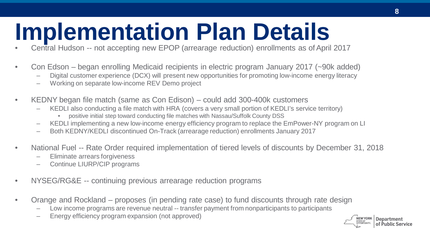# **Implementation Plan Details (Special Hudson -- not accepting new EPOP (arrearage reduction) enrollments as of April 2017**

- 
- Con Edson began enrolling Medicaid recipients in electric program January 2017 (~90k added)
	- Digital customer experience (DCX) will present new opportunities for promoting low-income energy literacy
	- Working on separate low-income REV Demo project
- KEDNY began file match (same as Con Edison) could add 300-400k customers
	- KEDLI also conducting a file match with HRA (covers a very small portion of KEDLI's service territory)
		- positive initial step toward conducting file matches with Nassau/Suffolk County DSS
	- KEDLI implementing a new low-income energy efficiency program to replace the EmPower-NY program on LI
	- Both KEDNY/KEDLI discontinued On-Track (arrearage reduction) enrollments January 2017
- National Fuel -- Rate Order required implementation of tiered levels of discounts by December 31, 2018
	- Eliminate arrears forgiveness
	- Continue LIURP/CIP programs
- NYSEG/RG&E -- continuing previous arrearage reduction programs
- Orange and Rockland proposes (in pending rate case) to fund discounts through rate design
	- Low income programs are revenue neutral -- transfer payment from nonparticipants to participants
	- Energy efficiency program expansion (not approved)

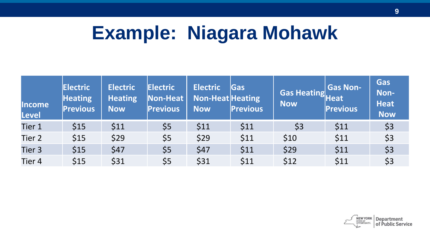#### **Example: Niagara Mohawk**

| <b>Income</b><br>Level | <b>Electric</b><br><b>Heating</b><br><b>Previous</b> | <b>Electric</b><br><b>Heating</b><br><b>Now</b> | <b>Electric</b><br>Non-Heat<br><b>Previous</b> | <b>Electric</b><br><b>Non-Heat Heating</b><br><b>Now</b> | Gas<br><b>Previous</b> | Gas Heating<br>Heat<br>Now | <b>Gas Non-</b><br><b>Previous</b> | Gas<br>Non-<br><b>Heat</b><br><b>Now</b> |
|------------------------|------------------------------------------------------|-------------------------------------------------|------------------------------------------------|----------------------------------------------------------|------------------------|----------------------------|------------------------------------|------------------------------------------|
| Tier 1                 | \$15                                                 | \$11                                            | \$5                                            | \$11                                                     | \$11                   | \$3                        | \$11                               | \$3                                      |
| Tier 2                 | \$15                                                 | \$29                                            | \$5                                            | \$29                                                     | \$11                   | \$10                       | \$11                               | \$3                                      |
| Tier 3                 | \$15                                                 | \$47                                            | \$5                                            | \$47                                                     | \$11                   | \$29                       | \$11                               | \$3                                      |
| Tier 4                 | \$15                                                 | \$31                                            | \$5                                            | \$31                                                     | \$11                   | \$12                       | \$11                               | \$3                                      |

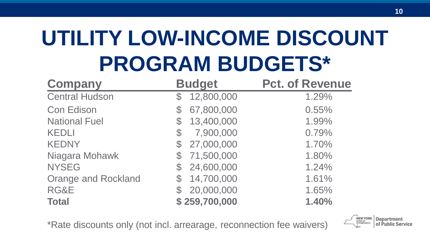## **UTILITY LOW-INCOME DISCOUNT PROGRAM BUDGETS\***

| <b>Company</b>             | <b>Budget</b>               | <b>Pct. of Revenue</b> |
|----------------------------|-----------------------------|------------------------|
| <b>Central Hudson</b>      | 12,800,000<br>${\mathbb S}$ | 1.29%                  |
| <b>Con Edison</b>          | 67,800,000<br>$\mathcal{L}$ | 0.55%                  |
| <b>National Fuel</b>       | 13,400,000<br>${\mathbb S}$ | 1.99%                  |
| <b>KEDLI</b>               | 7,900,000<br>$\mathcal{C}$  | 0.79%                  |
| <b>KEDNY</b>               | 27,000,000                  | 1.70%                  |
| Niagara Mohawk             | 71,500,000                  | 1.80%                  |
| <b>NYSEG</b>               | \$24,600,000                | 1.24%                  |
| <b>Orange and Rockland</b> | 14,700,000                  | 1.61%                  |
| RG&E                       | 20,000,000                  | 1.65%                  |
| <b>Total</b>               | \$259,700,000               | 1.40%                  |

\*Rate discounts only (not incl. arrearage, reconnection fee waivers)